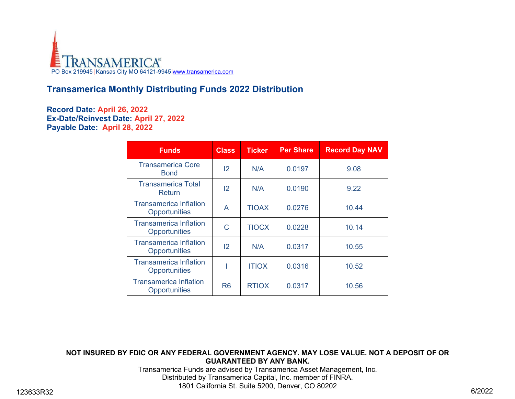

## **Transamerica Monthly Distributing Funds 2022 Distribution**

## **Record Date: April 26, 2022 Ex-Date/Reinvest Date: April 27, 2022 Payable Date: April 28, 2022**

| <b>Funds</b>                                          | <b>Class</b>   | <b>Ticker</b> | <b>Per Share</b> | <b>Record Day NAV</b> |
|-------------------------------------------------------|----------------|---------------|------------------|-----------------------|
| <b>Transamerica Core</b><br><b>Bond</b>               | $\overline{2}$ | N/A           | 0.0197           | 9.08                  |
| <b>Transamerica Total</b><br>Return                   | $\overline{2}$ | N/A           | 0.0190           | 9.22                  |
| <b>Transamerica Inflation</b><br><b>Opportunities</b> | A              | <b>TIOAX</b>  | 0.0276           | 10.44                 |
| <b>Transamerica Inflation</b><br><b>Opportunities</b> | C              | <b>TIOCX</b>  | 0.0228           | 10.14                 |
| <b>Transamerica Inflation</b><br><b>Opportunities</b> | $\overline{2}$ | N/A           | 0.0317           | 10.55                 |
| <b>Transamerica Inflation</b><br><b>Opportunities</b> |                | <b>ITIOX</b>  | 0.0316           | 10.52                 |
| <b>Transamerica Inflation</b><br><b>Opportunities</b> | R <sub>6</sub> | <b>RTIOX</b>  | 0.0317           | 10.56                 |

## **NOT INSURED BY FDIC OR ANY FEDERAL GOVERNMENT AGENCY. MAY LOSE VALUE. NOT A DEPOSIT OF OR GUARANTEED BY ANY BANK.**

Transamerica Funds are advised by Transamerica Asset Management, Inc. Distributed by Transamerica Capital, Inc. member of FINRA. 1801 California St. Suite 5200, Denver, CO 80202 123633R32 6/2022